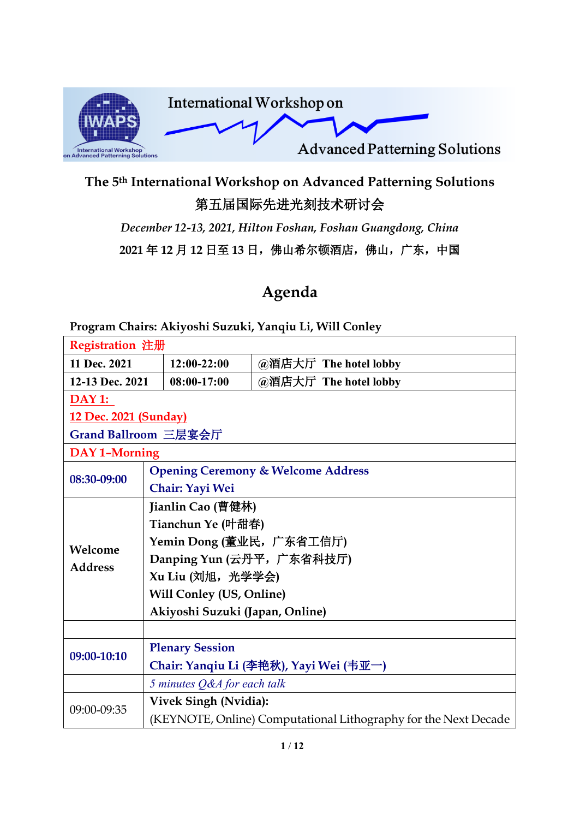

## **The 5th International Workshop on Advanced Patterning Solutions** 第五届国际先进光刻技术研讨会

*December 12-13, 2021, Hilton Foshan, Foshan Guangdong, China* **2021** 年 **12** 月 **12** 日至 **13** 日,佛山希尔顿酒店,佛山,广东,中国

## **Agenda**

**Program Chairs: Akiyoshi Suzuki, Yanqiu Li, Will Conley**

| Registration 注册       |  |                                 |                                                                 |
|-----------------------|--|---------------------------------|-----------------------------------------------------------------|
| 11 Dec. 2021          |  | $12:00-22:00$                   | @酒店大厅 The hotel lobby                                           |
| 12-13 Dec. 2021       |  | 08:00-17:00                     | @酒店大厅 The hotel lobby                                           |
| <b>DAY 1:</b>         |  |                                 |                                                                 |
| 12 Dec. 2021 (Sunday) |  |                                 |                                                                 |
| Grand Ballroom 三层宴会厅  |  |                                 |                                                                 |
| <b>DAY 1-Morning</b>  |  |                                 |                                                                 |
| 08:30-09:00           |  |                                 | <b>Opening Ceremony &amp; Welcome Address</b>                   |
|                       |  | Chair: Yayi Wei                 |                                                                 |
|                       |  | Jianlin Cao (曹健林)               |                                                                 |
|                       |  | Tianchun Ye (叶甜春)               |                                                                 |
| Welcome               |  |                                 | Yemin Dong (董业民, 广东省工信厅)                                        |
| <b>Address</b>        |  |                                 | Danping Yun (云丹平, 广东省科技厅)                                       |
|                       |  | Xu Liu (刘旭, 光学学会)               |                                                                 |
|                       |  | <b>Will Conley (US, Online)</b> |                                                                 |
|                       |  | Akiyoshi Suzuki (Japan, Online) |                                                                 |
|                       |  |                                 |                                                                 |
|                       |  | <b>Plenary Session</b>          |                                                                 |
| 09:00-10:10           |  |                                 | Chair: Yanqiu Li (李艳秋), Yayi Wei (韦亚一)                          |
|                       |  | 5 minutes Q&A for each talk     |                                                                 |
| 09:00-09:35           |  | <b>Vivek Singh (Nvidia):</b>    |                                                                 |
|                       |  |                                 | (KEYNOTE, Online) Computational Lithography for the Next Decade |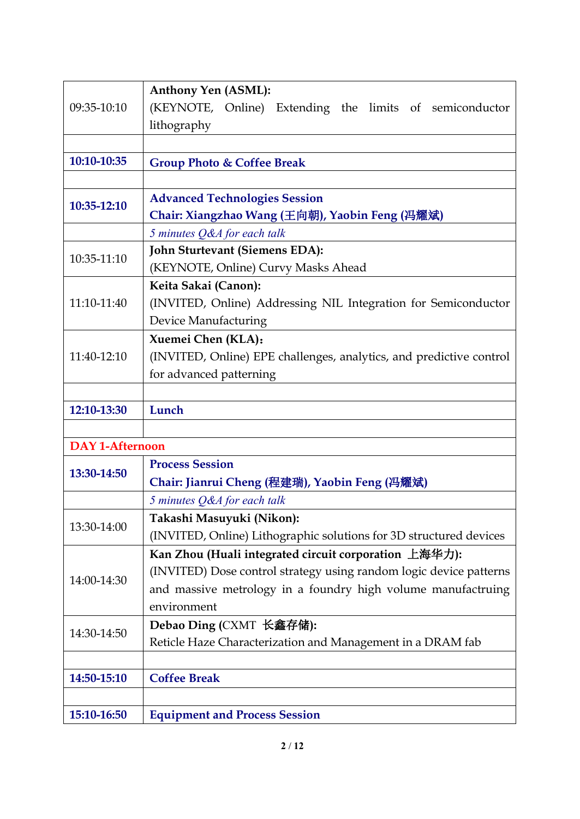|                        | <b>Anthony Yen (ASML):</b>                                          |
|------------------------|---------------------------------------------------------------------|
| 09:35-10:10            | (KEYNOTE, Online) Extending the limits of semiconductor             |
|                        | lithography                                                         |
|                        |                                                                     |
| 10:10-10:35            | <b>Group Photo &amp; Coffee Break</b>                               |
|                        |                                                                     |
| 10:35-12:10            | <b>Advanced Technologies Session</b>                                |
|                        | Chair: Xiangzhao Wang (王向朝), Yaobin Feng (冯耀斌)                      |
|                        | 5 minutes Q&A for each talk                                         |
| 10:35-11:10            | John Sturtevant (Siemens EDA):                                      |
|                        | (KEYNOTE, Online) Curvy Masks Ahead                                 |
|                        | Keita Sakai (Canon):                                                |
| 11:10-11:40            | (INVITED, Online) Addressing NIL Integration for Semiconductor      |
|                        | Device Manufacturing                                                |
|                        | Xuemei Chen (KLA):                                                  |
| 11:40-12:10            | (INVITED, Online) EPE challenges, analytics, and predictive control |
|                        | for advanced patterning                                             |
|                        |                                                                     |
| 12:10-13:30            | Lunch                                                               |
|                        |                                                                     |
| <b>DAY 1-Afternoon</b> |                                                                     |
| 13:30-14:50            | <b>Process Session</b>                                              |
|                        | Chair: Jianrui Cheng (程建瑞), Yaobin Feng (冯耀斌)                       |
|                        | 5 minutes Q&A for each talk                                         |
| 13:30-14:00            | Takashi Masuyuki (Nikon):                                           |
|                        |                                                                     |
|                        | (INVITED, Online) Lithographic solutions for 3D structured devices  |
|                        | Kan Zhou (Huali integrated circuit corporation 上海华力):               |
|                        | (INVITED) Dose control strategy using random logic device patterns  |
| 14:00-14:30            | and massive metrology in a foundry high volume manufactruing        |
|                        | environment                                                         |
|                        | Debao Ding (CXMT 长鑫存储):                                             |
| 14:30-14:50            | Reticle Haze Characterization and Management in a DRAM fab          |
|                        |                                                                     |
| 14:50-15:10            | <b>Coffee Break</b>                                                 |
|                        |                                                                     |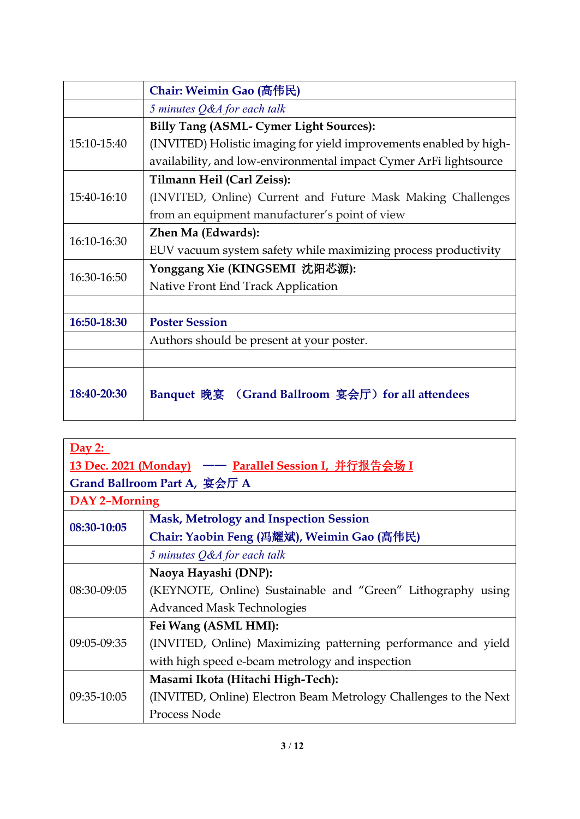|             | Chair: Weimin Gao (高伟民)                                            |
|-------------|--------------------------------------------------------------------|
|             | 5 minutes Q&A for each talk                                        |
|             | Billy Tang (ASML- Cymer Light Sources):                            |
| 15:10-15:40 | (INVITED) Holistic imaging for yield improvements enabled by high- |
|             | availability, and low-environmental impact Cymer ArFi lightsource  |
|             | Tilmann Heil (Carl Zeiss):                                         |
| 15:40-16:10 | (INVITED, Online) Current and Future Mask Making Challenges        |
|             | from an equipment manufacturer's point of view                     |
| 16:10-16:30 | Zhen Ma (Edwards):                                                 |
|             | EUV vacuum system safety while maximizing process productivity     |
| 16:30-16:50 | Yonggang Xie (KINGSEMI 沈阳芯源):                                      |
|             | Native Front End Track Application                                 |
|             |                                                                    |
| 16:50-18:30 | <b>Poster Session</b>                                              |
|             | Authors should be present at your poster.                          |
|             |                                                                    |
| 18:40-20:30 | Banquet 晚宴 (Grand Ballroom 宴会厅) for all attendees                  |

| Day 2:                                                |                                                                  |  |
|-------------------------------------------------------|------------------------------------------------------------------|--|
| 13 Dec. 2021 (Monday) —— Parallel Session I, 并行报告会场 I |                                                                  |  |
| Grand Ballroom Part A, 宴会厅 A                          |                                                                  |  |
| DAY 2-Morning                                         |                                                                  |  |
| 08:30-10:05                                           | <b>Mask, Metrology and Inspection Session</b>                    |  |
|                                                       | Chair: Yaobin Feng (冯耀斌), Weimin Gao (高伟民)                       |  |
|                                                       | 5 minutes Q&A for each talk                                      |  |
|                                                       | Naoya Hayashi (DNP):                                             |  |
| 08:30-09:05                                           | (KEYNOTE, Online) Sustainable and "Green" Lithography using      |  |
|                                                       | <b>Advanced Mask Technologies</b>                                |  |
|                                                       | Fei Wang (ASML HMI):                                             |  |
| 09:05-09:35                                           | (INVITED, Online) Maximizing patterning performance and yield    |  |
|                                                       | with high speed e-beam metrology and inspection                  |  |
|                                                       | Masami Ikota (Hitachi High-Tech):                                |  |
| 09:35-10:05                                           | (INVITED, Online) Electron Beam Metrology Challenges to the Next |  |
|                                                       | Process Node                                                     |  |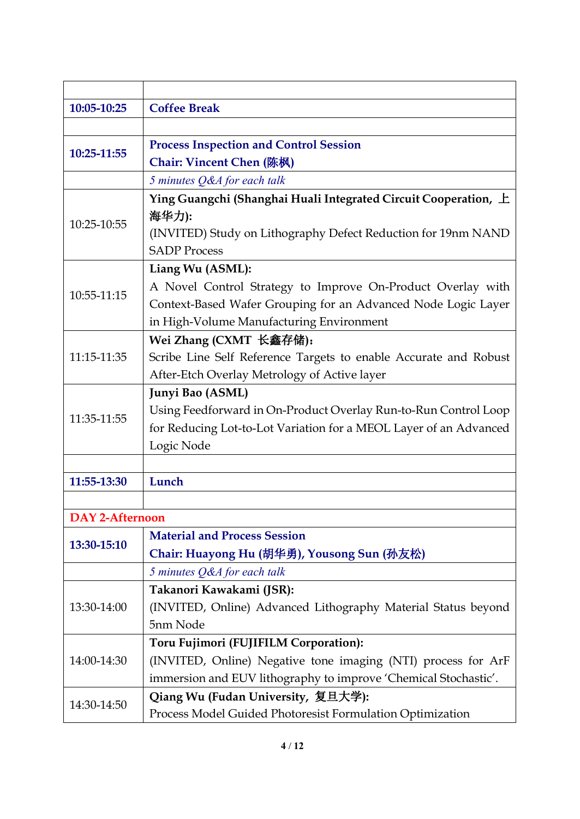| 10:05-10:25            | <b>Coffee Break</b>                                               |
|------------------------|-------------------------------------------------------------------|
|                        |                                                                   |
| 10:25-11:55            | <b>Process Inspection and Control Session</b>                     |
|                        | Chair: Vincent Chen (陈枫)                                          |
|                        | 5 minutes Q&A for each talk                                       |
|                        | Ying Guangchi (Shanghai Huali Integrated Circuit Cooperation, 上   |
| 10:25-10:55            | 海华力):                                                             |
|                        | (INVITED) Study on Lithography Defect Reduction for 19nm NAND     |
|                        | <b>SADP Process</b>                                               |
|                        | Liang Wu (ASML):                                                  |
| 10:55-11:15            | A Novel Control Strategy to Improve On-Product Overlay with       |
|                        | Context-Based Wafer Grouping for an Advanced Node Logic Layer     |
|                        | in High-Volume Manufacturing Environment                          |
|                        | Wei Zhang (CXMT 长鑫存储):                                            |
| 11:15-11:35            | Scribe Line Self Reference Targets to enable Accurate and Robust  |
|                        | After-Etch Overlay Metrology of Active layer                      |
|                        | Junyi Bao (ASML)                                                  |
| 11:35-11:55            | Using Feedforward in On-Product Overlay Run-to-Run Control Loop   |
|                        | for Reducing Lot-to-Lot Variation for a MEOL Layer of an Advanced |
|                        | Logic Node                                                        |
|                        |                                                                   |
| 11:55-13:30            | Lunch                                                             |
|                        |                                                                   |
| <b>DAY 2-Afternoon</b> |                                                                   |
| 13:30-15:10            | <b>Material and Process Session</b>                               |
|                        | Chair: Huayong Hu (胡华勇), Yousong Sun (孙友松)                        |
|                        | 5 minutes Q&A for each talk                                       |
|                        | Takanori Kawakami (JSR):                                          |
| 13:30-14:00            | (INVITED, Online) Advanced Lithography Material Status beyond     |
|                        | 5nm Node                                                          |
| 14:00-14:30            | Toru Fujimori (FUJIFILM Corporation):                             |
|                        | (INVITED, Online) Negative tone imaging (NTI) process for ArF     |
|                        | immersion and EUV lithography to improve 'Chemical Stochastic'.   |
| 14:30-14:50            | Qiang Wu (Fudan University, 复旦大学):                                |
|                        | Process Model Guided Photoresist Formulation Optimization         |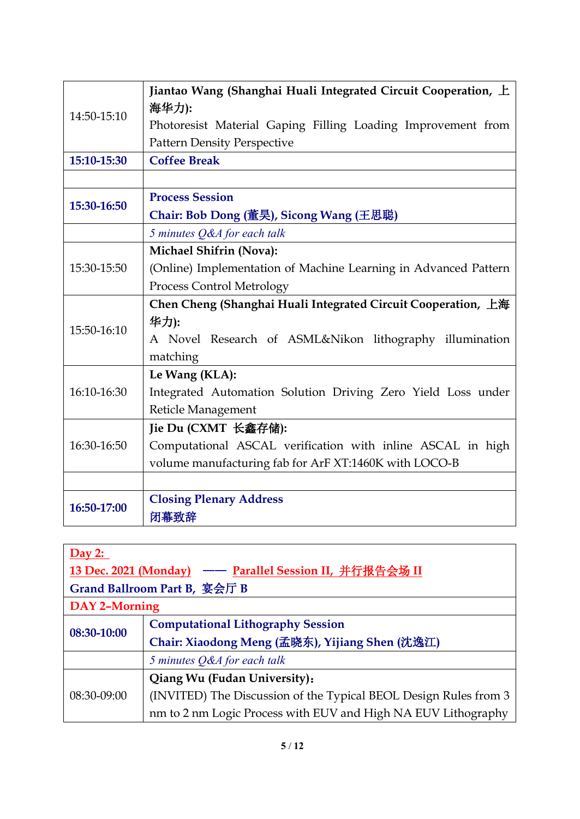|             | Jiantao Wang (Shanghai Huali Integrated Circuit Cooperation, $\pm$ |
|-------------|--------------------------------------------------------------------|
| 14:50-15:10 | 海华力):                                                              |
|             | Photoresist Material Gaping Filling Loading Improvement from       |
|             | <b>Pattern Density Perspective</b>                                 |
| 15:10-15:30 | <b>Coffee Break</b>                                                |
|             |                                                                    |
| 15:30-16:50 | <b>Process Session</b>                                             |
|             | Chair: Bob Dong (董昊), Sicong Wang (王思聪)                            |
|             | 5 minutes Q&A for each talk                                        |
|             | <b>Michael Shifrin (Nova):</b>                                     |
| 15:30-15:50 | (Online) Implementation of Machine Learning in Advanced Pattern    |
|             | Process Control Metrology                                          |
|             | Chen Cheng (Shanghai Huali Integrated Circuit Cooperation, 上海      |
| 15:50-16:10 | 华力):                                                               |
|             | A Novel Research of ASML&Nikon lithography illumination            |
|             | matching                                                           |
|             | Le Wang (KLA):                                                     |
| 16:10-16:30 | Integrated Automation Solution Driving Zero Yield Loss under       |
|             | Reticle Management                                                 |
| 16:30-16:50 | Jie Du (CXMT 长鑫存储):                                                |
|             | Computational ASCAL verification with inline ASCAL in high         |
|             | volume manufacturing fab for ArF XT:1460K with LOCO-B              |
|             |                                                                    |
| 16:50-17:00 | <b>Closing Plenary Address</b>                                     |
|             | 闭幕致辞                                                               |

| Day 2:                                                 |                                                                  |  |
|--------------------------------------------------------|------------------------------------------------------------------|--|
| 13 Dec. 2021 (Monday) – Parallel Session II, 并行报告会场 II |                                                                  |  |
| Grand Ballroom Part B, 宴会厅 B                           |                                                                  |  |
| DAY 2-Morning                                          |                                                                  |  |
| 08:30-10:00                                            | <b>Computational Lithography Session</b>                         |  |
|                                                        | Chair: Xiaodong Meng (孟晓东), Yijiang Shen (沈逸江)                   |  |
|                                                        | 5 minutes Q&A for each talk                                      |  |
| 08:30-09:00                                            | Qiang Wu (Fudan University):                                     |  |
|                                                        | (INVITED) The Discussion of the Typical BEOL Design Rules from 3 |  |
|                                                        | nm to 2 nm Logic Process with EUV and High NA EUV Lithography    |  |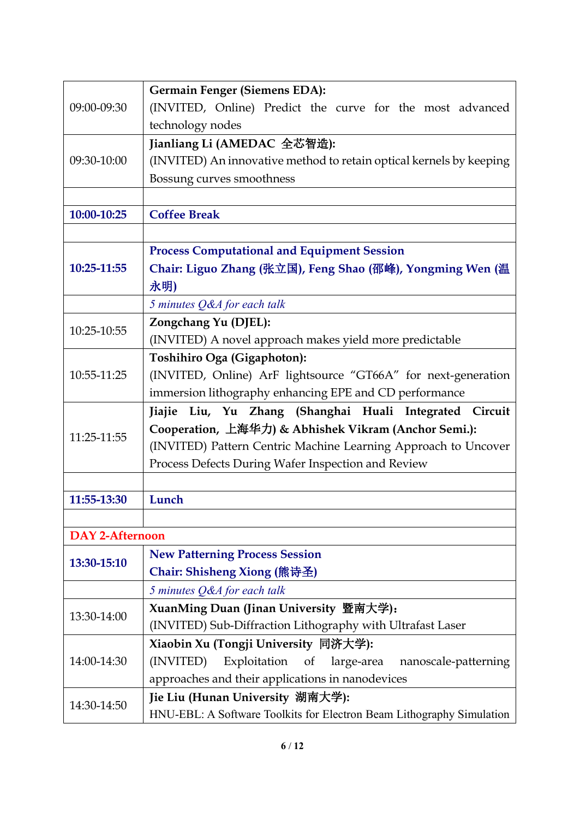|                        | Germain Fenger (Siemens EDA):                                         |
|------------------------|-----------------------------------------------------------------------|
| 09:00-09:30            | (INVITED, Online) Predict the curve for the most advanced             |
|                        | technology nodes                                                      |
|                        | Jianliang Li (AMEDAC 全芯智造):                                           |
| 09:30-10:00            | (INVITED) An innovative method to retain optical kernels by keeping   |
|                        | Bossung curves smoothness                                             |
|                        |                                                                       |
| 10:00-10:25            | <b>Coffee Break</b>                                                   |
|                        |                                                                       |
|                        |                                                                       |
| 10:25-11:55            | <b>Process Computational and Equipment Session</b>                    |
|                        | Chair: Liguo Zhang (张立国), Feng Shao (邵峰), Yongming Wen (温             |
|                        | 永明)                                                                   |
|                        | 5 minutes Q&A for each talk                                           |
| 10:25-10:55            | Zongchang Yu (DJEL):                                                  |
|                        | (INVITED) A novel approach makes yield more predictable               |
|                        | Toshihiro Oga (Gigaphoton):                                           |
| 10:55-11:25            | (INVITED, Online) ArF lightsource "GT66A" for next-generation         |
|                        | immersion lithography enhancing EPE and CD performance                |
|                        | Jiajie Liu, Yu Zhang (Shanghai Huali Integrated Circuit               |
| 11:25-11:55            | Cooperation, 上海华力) & Abhishek Vikram (Anchor Semi.):                  |
|                        | (INVITED) Pattern Centric Machine Learning Approach to Uncover        |
|                        |                                                                       |
|                        | Process Defects During Wafer Inspection and Review                    |
|                        |                                                                       |
| 11:55-13:30            | Lunch                                                                 |
|                        |                                                                       |
| <b>DAY 2-Afternoon</b> |                                                                       |
|                        | <b>New Patterning Process Session</b>                                 |
| 13:30-15:10            | Chair: Shisheng Xiong (熊诗圣)                                           |
|                        | 5 minutes Q&A for each talk                                           |
|                        | XuanMing Duan (Jinan University 暨南大学):                                |
| 13:30-14:00            | (INVITED) Sub-Diffraction Lithography with Ultrafast Laser            |
|                        | Xiaobin Xu (Tongji University 同济大学):                                  |
| 14:00-14:30            | (INVITED)<br>Exploitation<br>of<br>large-area<br>nanoscale-patterning |
|                        | approaches and their applications in nanodevices                      |
| 14:30-14:50            | Jie Liu (Hunan University 湖南大学):                                      |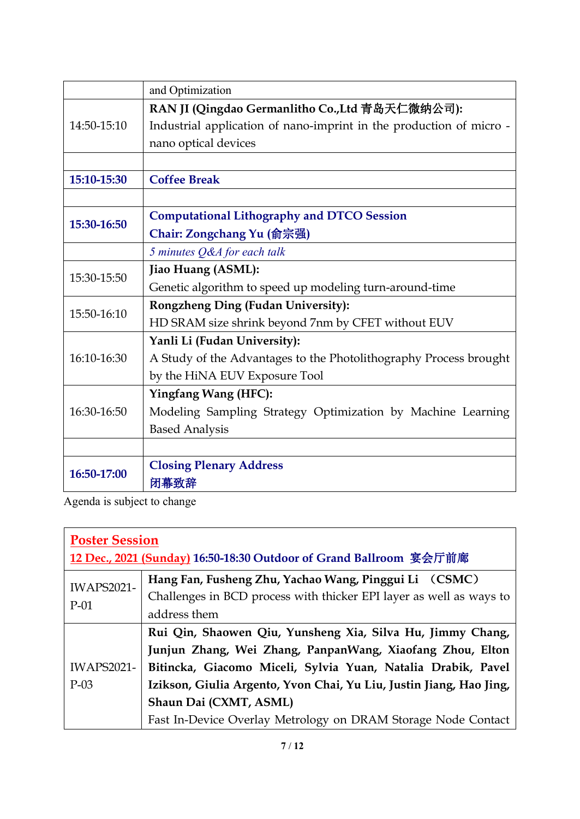|             | and Optimization                                                    |
|-------------|---------------------------------------------------------------------|
|             | RAN JI (Qingdao Germanlitho Co., Ltd 青岛天仁微纳公司):                     |
| 14:50-15:10 | Industrial application of nano-imprint in the production of micro - |
|             | nano optical devices                                                |
|             |                                                                     |
| 15:10-15:30 | <b>Coffee Break</b>                                                 |
|             |                                                                     |
| 15:30-16:50 | <b>Computational Lithography and DTCO Session</b>                   |
|             | Chair: Zongchang Yu (俞宗强)                                           |
|             | 5 minutes Q&A for each talk                                         |
| 15:30-15:50 | Jiao Huang (ASML):                                                  |
|             | Genetic algorithm to speed up modeling turn-around-time             |
| 15:50-16:10 | Rongzheng Ding (Fudan University):                                  |
|             | HD SRAM size shrink beyond 7nm by CFET without EUV                  |
|             | Yanli Li (Fudan University):                                        |
| 16:10-16:30 | A Study of the Advantages to the Photolithography Process brought   |
|             | by the HiNA EUV Exposure Tool                                       |
|             | <b>Yingfang Wang (HFC):</b>                                         |
| 16:30-16:50 | Modeling Sampling Strategy Optimization by Machine Learning         |
|             | <b>Based Analysis</b>                                               |
|             |                                                                     |
| 16:50-17:00 | <b>Closing Plenary Address</b>                                      |
|             | 闭幕致辞                                                                |

Agenda is subject to change

| <b>Poster Session</b>       |                                                                     |  |  |
|-----------------------------|---------------------------------------------------------------------|--|--|
|                             | 12 Dec., 2021 (Sunday) 16:50-18:30 Outdoor of Grand Ballroom 宴会厅前廊  |  |  |
| <b>IWAPS2021-</b><br>$P-01$ | Hang Fan, Fusheng Zhu, Yachao Wang, Pinggui Li (CSMC)               |  |  |
|                             | Challenges in BCD process with thicker EPI layer as well as ways to |  |  |
|                             | address them                                                        |  |  |
|                             | Rui Qin, Shaowen Qiu, Yunsheng Xia, Silva Hu, Jimmy Chang,          |  |  |
|                             | Junjun Zhang, Wei Zhang, PanpanWang, Xiaofang Zhou, Elton           |  |  |
| <b>IWAPS2021-</b>           | Bitincka, Giacomo Miceli, Sylvia Yuan, Natalia Drabik, Pavel        |  |  |
| $P-03$                      | Izikson, Giulia Argento, Yvon Chai, Yu Liu, Justin Jiang, Hao Jing, |  |  |
|                             | Shaun Dai (CXMT, ASML)                                              |  |  |
|                             | Fast In-Device Overlay Metrology on DRAM Storage Node Contact       |  |  |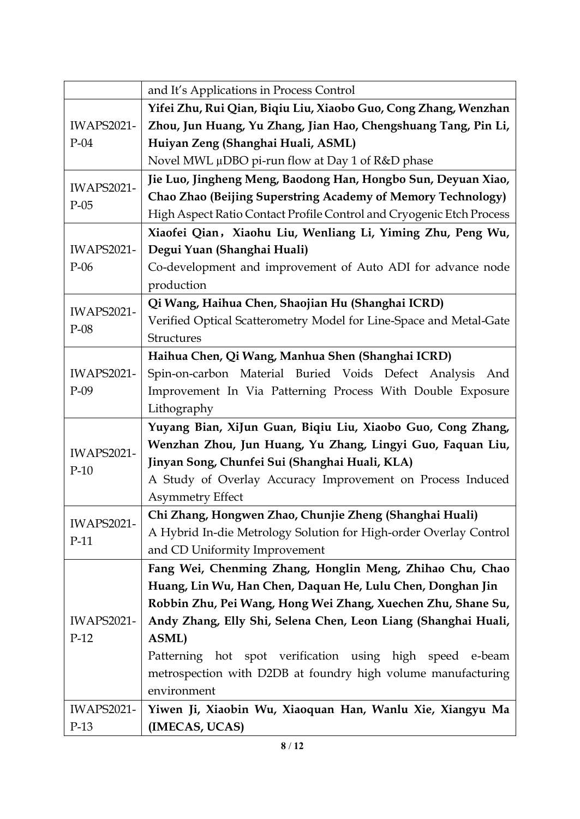|                   | and It's Applications in Process Control                             |
|-------------------|----------------------------------------------------------------------|
|                   | Yifei Zhu, Rui Qian, Biqiu Liu, Xiaobo Guo, Cong Zhang, Wenzhan      |
| <b>IWAPS2021-</b> | Zhou, Jun Huang, Yu Zhang, Jian Hao, Chengshuang Tang, Pin Li,       |
| $P-04$            | Huiyan Zeng (Shanghai Huali, ASML)                                   |
|                   | Novel MWL µDBO pi-run flow at Day 1 of R&D phase                     |
|                   | Jie Luo, Jingheng Meng, Baodong Han, Hongbo Sun, Deyuan Xiao,        |
| <b>IWAPS2021-</b> | Chao Zhao (Beijing Superstring Academy of Memory Technology)         |
| $P-05$            | High Aspect Ratio Contact Profile Control and Cryogenic Etch Process |
|                   | Xiaofei Qian, Xiaohu Liu, Wenliang Li, Yiming Zhu, Peng Wu,          |
| <b>IWAPS2021-</b> | Degui Yuan (Shanghai Huali)                                          |
| $P-06$            | Co-development and improvement of Auto ADI for advance node          |
|                   | production                                                           |
| <b>IWAPS2021-</b> | Qi Wang, Haihua Chen, Shaojian Hu (Shanghai ICRD)                    |
|                   | Verified Optical Scatterometry Model for Line-Space and Metal-Gate   |
| $P-08$            | Structures                                                           |
|                   | Haihua Chen, Qi Wang, Manhua Shen (Shanghai ICRD)                    |
| <b>IWAPS2021-</b> | Spin-on-carbon Material Buried Voids Defect Analysis<br>And          |
| $P-09$            | Improvement In Via Patterning Process With Double Exposure           |
|                   | Lithography                                                          |
|                   | Yuyang Bian, XiJun Guan, Biqiu Liu, Xiaobo Guo, Cong Zhang,          |
| <b>IWAPS2021-</b> | Wenzhan Zhou, Jun Huang, Yu Zhang, Lingyi Guo, Faquan Liu,           |
| $P-10$            | Jinyan Song, Chunfei Sui (Shanghai Huali, KLA)                       |
|                   | A Study of Overlay Accuracy Improvement on Process Induced           |
|                   | <b>Asymmetry Effect</b>                                              |
| <b>IWAPS2021-</b> | Chi Zhang, Hongwen Zhao, Chunjie Zheng (Shanghai Huali)              |
| $P-11$            | A Hybrid In-die Metrology Solution for High-order Overlay Control    |
|                   | and CD Uniformity Improvement                                        |
|                   | Fang Wei, Chenming Zhang, Honglin Meng, Zhihao Chu, Chao             |
|                   | Huang, Lin Wu, Han Chen, Daquan He, Lulu Chen, Donghan Jin           |
|                   | Robbin Zhu, Pei Wang, Hong Wei Zhang, Xuechen Zhu, Shane Su,         |
| <b>IWAPS2021-</b> | Andy Zhang, Elly Shi, Selena Chen, Leon Liang (Shanghai Huali,       |
| $P-12$            | <b>ASML</b> )                                                        |
|                   | Patterning hot spot verification using high speed e-beam             |
|                   | metrospection with D2DB at foundry high volume manufacturing         |
|                   | environment                                                          |
| <b>IWAPS2021-</b> | Yiwen Ji, Xiaobin Wu, Xiaoquan Han, Wanlu Xie, Xiangyu Ma            |
| $P-13$            | (IMECAS, UCAS)                                                       |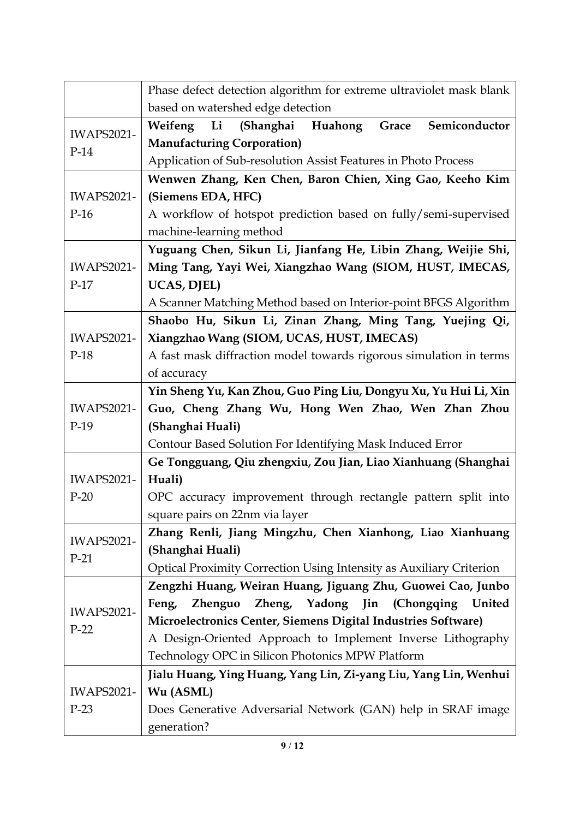|                             | Phase defect detection algorithm for extreme ultraviolet mask blank           |
|-----------------------------|-------------------------------------------------------------------------------|
|                             | based on watershed edge detection                                             |
| <b>IWAPS2021-</b><br>$P-14$ | Weifeng Li<br>(Shanghai Huahong Grace<br>Semiconductor                        |
|                             | <b>Manufacturing Corporation)</b>                                             |
|                             | Application of Sub-resolution Assist Features in Photo Process                |
|                             | Wenwen Zhang, Ken Chen, Baron Chien, Xing Gao, Keeho Kim                      |
| <b>IWAPS2021-</b>           | (Siemens EDA, HFC)                                                            |
| $P-16$                      | A workflow of hotspot prediction based on fully/semi-supervised               |
|                             | machine-learning method                                                       |
|                             | Yuguang Chen, Sikun Li, Jianfang He, Libin Zhang, Weijie Shi,                 |
| <b>IWAPS2021-</b>           | Ming Tang, Yayi Wei, Xiangzhao Wang (SIOM, HUST, IMECAS,                      |
| $P-17$                      | UCAS, DJEL)                                                                   |
|                             | A Scanner Matching Method based on Interior-point BFGS Algorithm              |
|                             | Shaobo Hu, Sikun Li, Zinan Zhang, Ming Tang, Yuejing Qi,                      |
| <b>IWAPS2021-</b>           | Xiangzhao Wang (SIOM, UCAS, HUST, IMECAS)                                     |
| $P-18$                      | A fast mask diffraction model towards rigorous simulation in terms            |
|                             | of accuracy                                                                   |
|                             | Yin Sheng Yu, Kan Zhou, Guo Ping Liu, Dongyu Xu, Yu Hui Li, Xin               |
| <b>IWAPS2021-</b>           | Guo, Cheng Zhang Wu, Hong Wen Zhao, Wen Zhan Zhou                             |
| $P-19$                      | (Shanghai Huali)                                                              |
|                             | Contour Based Solution For Identifying Mask Induced Error                     |
|                             | Ge Tongguang, Qiu zhengxiu, Zou Jian, Liao Xianhuang (Shanghai                |
| <b>IWAPS2021-</b>           | Huali)                                                                        |
| $P-20$                      | OPC accuracy improvement through rectangle pattern split into                 |
|                             | square pairs on 22nm via layer                                                |
| <b>IWAPS2021-</b>           | Zhang Renli, Jiang Mingzhu, Chen Xianhong, Liao Xianhuang                     |
| $P-21$                      | (Shanghai Huali)                                                              |
|                             | Optical Proximity Correction Using Intensity as Auxiliary Criterion           |
|                             | Zengzhi Huang, Weiran Huang, Jiguang Zhu, Guowei Cao, Junbo                   |
| <b>IWAPS2021-</b>           | Zheng, Yadong Jin (Chongqing United<br><b>Zhenguo</b><br>Feng,                |
| $P-22$                      | Microelectronics Center, Siemens Digital Industries Software)                 |
|                             | A Design-Oriented Approach to Implement Inverse Lithography                   |
|                             | Technology OPC in Silicon Photonics MPW Platform                              |
| <b>IWAPS2021-</b>           | Jialu Huang, Ying Huang, Yang Lin, Zi-yang Liu, Yang Lin, Wenhui<br>Wu (ASML) |
| $P-23$                      | Does Generative Adversarial Network (GAN) help in SRAF image                  |
|                             | generation?                                                                   |
|                             |                                                                               |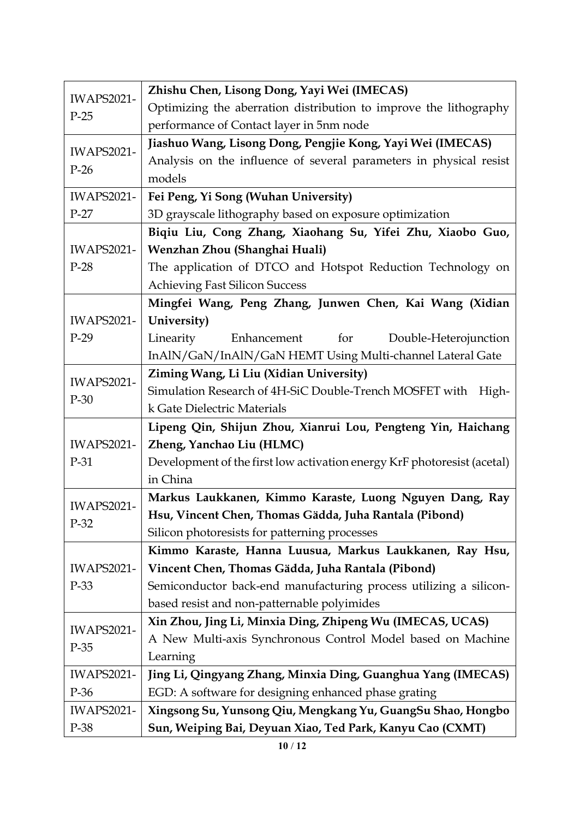| <b>IWAPS2021-</b><br>$P-25$ | Zhishu Chen, Lisong Dong, Yayi Wei (IMECAS)                             |
|-----------------------------|-------------------------------------------------------------------------|
|                             | Optimizing the aberration distribution to improve the lithography       |
|                             | performance of Contact layer in 5nm node                                |
| <b>IWAPS2021-</b><br>$P-26$ | Jiashuo Wang, Lisong Dong, Pengjie Kong, Yayi Wei (IMECAS)              |
|                             | Analysis on the influence of several parameters in physical resist      |
|                             | models                                                                  |
| <b>IWAPS2021-</b>           | Fei Peng, Yi Song (Wuhan University)                                    |
| $P-27$                      | 3D grayscale lithography based on exposure optimization                 |
|                             | Biqiu Liu, Cong Zhang, Xiaohang Su, Yifei Zhu, Xiaobo Guo,              |
| <b>IWAPS2021-</b>           | Wenzhan Zhou (Shanghai Huali)                                           |
| $P-28$                      | The application of DTCO and Hotspot Reduction Technology on             |
|                             | <b>Achieving Fast Silicon Success</b>                                   |
|                             | Mingfei Wang, Peng Zhang, Junwen Chen, Kai Wang (Xidian                 |
| <b>IWAPS2021-</b>           | University)                                                             |
| $P-29$                      | for<br>Linearity<br>Enhancement<br>Double-Heterojunction                |
|                             | InAlN/GaN/InAlN/GaN HEMT Using Multi-channel Lateral Gate               |
| <b>IWAPS2021-</b>           | Ziming Wang, Li Liu (Xidian University)                                 |
|                             | Simulation Research of 4H-SiC Double-Trench MOSFET with<br>High-        |
| $P-30$                      | k Gate Dielectric Materials                                             |
|                             | Lipeng Qin, Shijun Zhou, Xianrui Lou, Pengteng Yin, Haichang            |
| <b>IWAPS2021-</b>           | Zheng, Yanchao Liu (HLMC)                                               |
| $P-31$                      | Development of the first low activation energy KrF photoresist (acetal) |
|                             | in China                                                                |
| <b>IWAPS2021-</b>           | Markus Laukkanen, Kimmo Karaste, Luong Nguyen Dang, Ray                 |
|                             | Hsu, Vincent Chen, Thomas Gädda, Juha Rantala (Pibond)                  |
| $P-32$                      | Silicon photoresists for patterning processes                           |
|                             | Kimmo Karaste, Hanna Luusua, Markus Laukkanen, Ray Hsu,                 |
| <b>IWAPS2021-</b>           | Vincent Chen, Thomas Gädda, Juha Rantala (Pibond)                       |
| P-33                        | Semiconductor back-end manufacturing process utilizing a silicon-       |
|                             | based resist and non-patternable polyimides                             |
| <b>IWAPS2021-</b><br>$P-35$ | Xin Zhou, Jing Li, Minxia Ding, Zhipeng Wu (IMECAS, UCAS)               |
|                             | A New Multi-axis Synchronous Control Model based on Machine             |
|                             | Learning                                                                |
| <b>IWAPS2021-</b>           | Jing Li, Qingyang Zhang, Minxia Ding, Guanghua Yang (IMECAS)            |
| P-36                        | EGD: A software for designing enhanced phase grating                    |
| <b>IWAPS2021-</b>           | Xingsong Su, Yunsong Qiu, Mengkang Yu, GuangSu Shao, Hongbo             |
| P-38                        | Sun, Weiping Bai, Deyuan Xiao, Ted Park, Kanyu Cao (CXMT)               |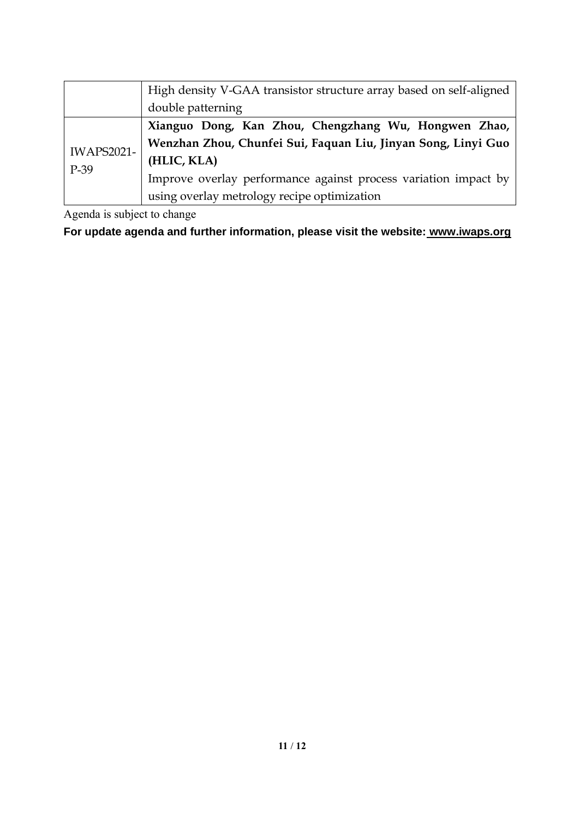|                             | High density V-GAA transistor structure array based on self-aligned |
|-----------------------------|---------------------------------------------------------------------|
|                             | double patterning                                                   |
| <b>IWAPS2021-</b><br>$P-39$ | Xianguo Dong, Kan Zhou, Chengzhang Wu, Hongwen Zhao,                |
|                             | Wenzhan Zhou, Chunfei Sui, Faquan Liu, Jinyan Song, Linyi Guo       |
|                             | (HLIC, KLA)                                                         |
|                             | Improve overlay performance against process variation impact by     |
|                             | using overlay metrology recipe optimization                         |

Agenda is subject to change

**For update agenda and further information, please visit the website: www.iwaps.org**